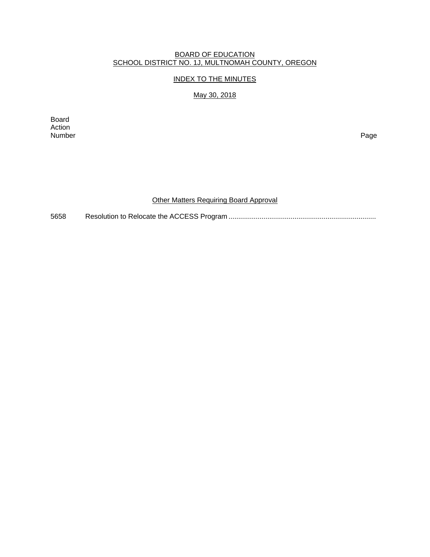#### BOARD OF EDUCATION SCHOOL DISTRICT NO. 1J, MULTNOMAH COUNTY, OREGON

## INDEX TO THE MINUTES

## May 30, 2018

Board Action Number Page

# Other Matters Requiring Board Approval

5658 Resolution to Relocate the ACCESS Program ............................................................................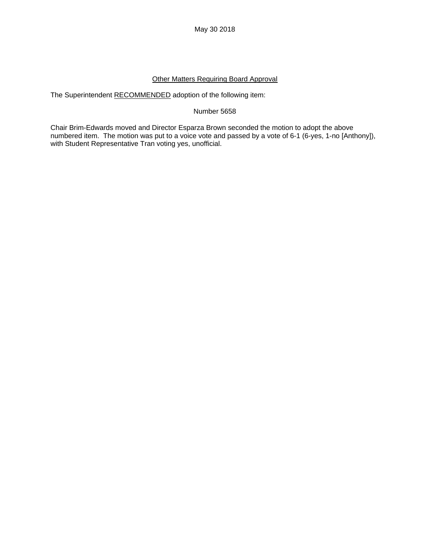## Other Matters Requiring Board Approval

The Superintendent RECOMMENDED adoption of the following item:

#### Number 5658

Chair Brim-Edwards moved and Director Esparza Brown seconded the motion to adopt the above numbered item. The motion was put to a voice vote and passed by a vote of 6-1 (6-yes, 1-no [Anthony]), with Student Representative Tran voting yes, unofficial.